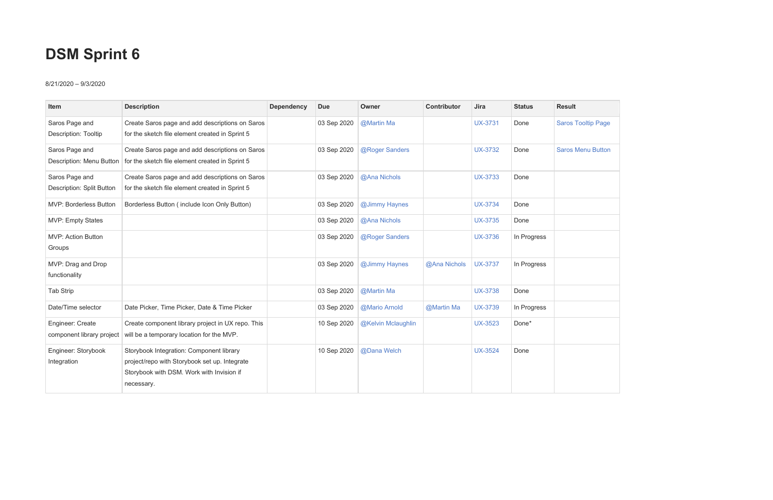## **DSM Sprint 6**

## 8/21/2020 – 9/3/2020

| Item                                          | <b>Description</b>                                                                                                                                   | <b>Dependency</b> | <b>Due</b>  | Owner              | <b>Contributor</b> | Jira           | <b>Status</b> | <b>Result</b>             |
|-----------------------------------------------|------------------------------------------------------------------------------------------------------------------------------------------------------|-------------------|-------------|--------------------|--------------------|----------------|---------------|---------------------------|
| Saros Page and<br><b>Description: Tooltip</b> | Create Saros page and add descriptions on Saros<br>for the sketch file element created in Sprint 5                                                   |                   | 03 Sep 2020 | @Martin Ma         |                    | <b>UX-3731</b> | Done          | <b>Saros Tooltip Page</b> |
| Saros Page and                                | Create Saros page and add descriptions on Saros<br>Description: Menu Button   for the sketch file element created in Sprint 5                        |                   | 03 Sep 2020 | @Roger Sanders     |                    | <b>UX-3732</b> | Done          | <b>Saros Menu Button</b>  |
| Saros Page and<br>Description: Split Button   | Create Saros page and add descriptions on Saros<br>for the sketch file element created in Sprint 5                                                   |                   | 03 Sep 2020 | @Ana Nichols       |                    | <b>UX-3733</b> | Done          |                           |
| <b>MVP: Borderless Button</b>                 | Borderless Button (include Icon Only Button)                                                                                                         |                   | 03 Sep 2020 | @Jimmy Haynes      |                    | <b>UX-3734</b> | Done          |                           |
| <b>MVP: Empty States</b>                      |                                                                                                                                                      |                   | 03 Sep 2020 | @Ana Nichols       |                    | <b>UX-3735</b> | Done          |                           |
| MVP: Action Button<br>Groups                  |                                                                                                                                                      |                   | 03 Sep 2020 | @Roger Sanders     |                    | <b>UX-3736</b> | In Progress   |                           |
| MVP: Drag and Drop<br>functionality           |                                                                                                                                                      |                   | 03 Sep 2020 | @Jimmy Haynes      | @Ana Nichols       | <b>UX-3737</b> | In Progress   |                           |
| <b>Tab Strip</b>                              |                                                                                                                                                      |                   | 03 Sep 2020 | @Martin Ma         |                    | <b>UX-3738</b> | Done          |                           |
| Date/Time selector                            | Date Picker, Time Picker, Date & Time Picker                                                                                                         |                   | 03 Sep 2020 | @Mario Arnold      | @Martin Ma         | <b>UX-3739</b> | In Progress   |                           |
| Engineer: Create<br>component library project | Create component library project in UX repo. This<br>will be a temporary location for the MVP.                                                       |                   | 10 Sep 2020 | @Kelvin Mclaughlin |                    | <b>UX-3523</b> | Done*         |                           |
| Engineer: Storybook<br>Integration            | Storybook Integration: Component library<br>project/repo with Storybook set up. Integrate<br>Storybook with DSM. Work with Invision if<br>necessary. |                   | 10 Sep 2020 | @Dana Welch        |                    | <b>UX-3524</b> | Done          |                           |